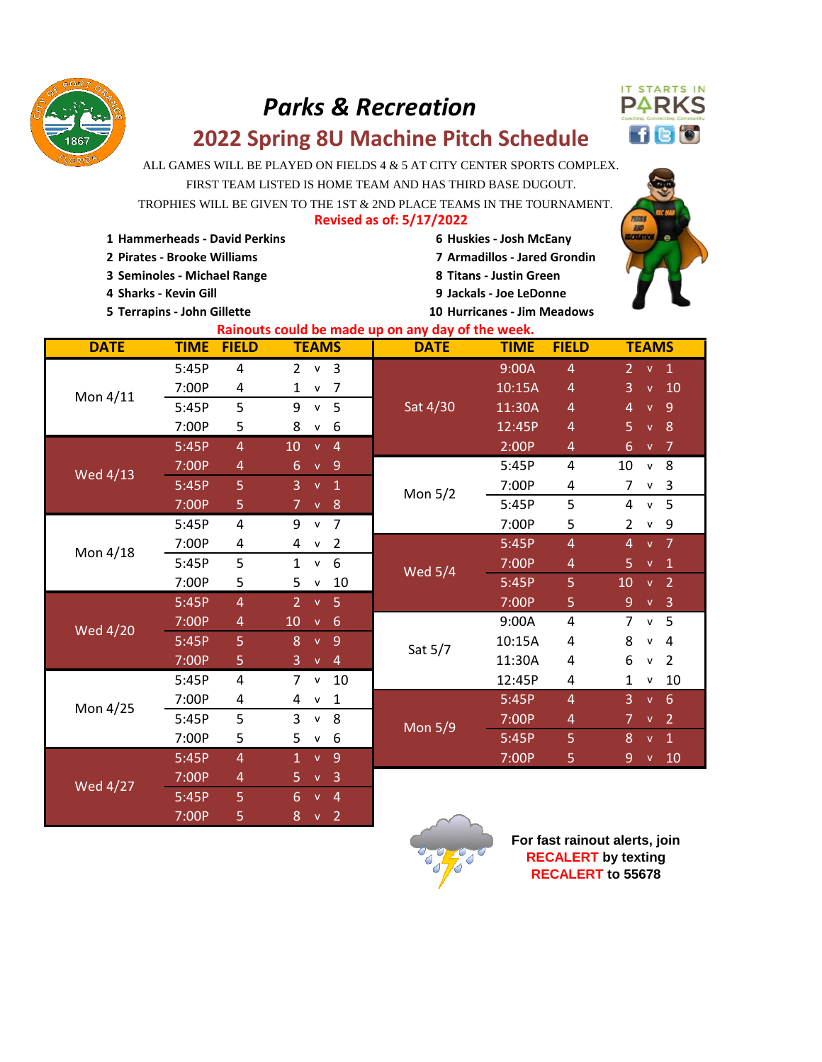

## *Parks & Recreation*



## **2022 Spring 8U Machine Pitch Schedule**

ALL GAMES WILL BE PLAYED ON FIELDS 4 & 5 AT CITY CENTER SPORTS COMPLEX.

FIRST TEAM LISTED IS HOME TEAM AND HAS THIRD BASE DUGOUT.

**Revised as of: 5/17/2022** TROPHIES WILL BE GIVEN TO THE 1ST & 2ND PLACE TEAMS IN THE TOURNAMENT.

| 1 Hammerheads - David Perkins | 6 Huskies - Josh McEany |
|-------------------------------|-------------------------|

- 
- **3 Seminoles Michael Range 8 Titans Justin Green**
- 
- **5 Terrapins John Gillette 10 Hurricanes Jim Meadows**
- **2 Pirates Brooke Williams 7 Armadillos Jared Grondin 4 Sharks - Kevin Gill 9 Jackals - Joe LeDonne**



| Rainouts could be made up on any day of the week. |             |                |                                                |                |                             |                                        |  |
|---------------------------------------------------|-------------|----------------|------------------------------------------------|----------------|-----------------------------|----------------------------------------|--|
| <b>DATE</b>                                       | <b>TIME</b> | <b>FIELD</b>   | <b>TEAMS</b>                                   | <b>DATE</b>    | <b>FIELD</b><br><b>TIME</b> | <b>TEAMS</b>                           |  |
| Mon 4/11                                          | 5:45P       | 4              | 3<br>$\overline{2}$<br>${\sf v}$               |                | 9:00A<br>$\overline{4}$     | 2 <sup>2</sup><br>v <sub>1</sub>       |  |
|                                                   | 7:00P       | 4              | $\overline{7}$<br>1<br>${\sf v}$               |                | 10:15A<br>$\overline{4}$    | 10<br>3<br>$\mathbf{V}$                |  |
|                                                   | 5:45P       | 5              | 9<br>5<br>$\mathsf{v}$                         | Sat 4/30       | 11:30A<br>4                 | $\overline{9}$<br>4<br>$\mathbf{v}$    |  |
|                                                   | 7:00P       | 5              | 8<br>6<br>V                                    |                | 12:45P<br>4                 | 8<br>5<br>$\mathbf{V}$                 |  |
| Wed 4/13                                          | 5:45P       | $\overline{4}$ | 10<br>$\overline{4}$<br>$\mathbf{V}$           |                | 2:00P<br>4                  | $\overline{7}$<br>6<br><b>V</b>        |  |
|                                                   | 7:00P       | 4              | 6<br>$\overline{9}$<br>$\mathbf{V}$            |                | 5:45P<br>4                  | 8<br>10<br>$\mathsf{v}$                |  |
|                                                   | 5:45P       | 5              | 3<br>$\mathbf{1}$<br>$\mathbf{V}$              | Mon $5/2$      | 7:00P<br>4                  | $\overline{7}$<br>3<br>v               |  |
|                                                   | 7:00P       | 5              | 8<br>$\overline{7}$<br>$\mathsf{V}$            |                | 5<br>5:45P                  | 5<br>4<br>$\mathsf{v}$                 |  |
| Mon 4/18                                          | 5:45P       | 4              | 9<br>$\overline{7}$<br>$\mathsf{v}$            |                | 7:00P<br>5                  | 9<br>2<br>v                            |  |
|                                                   | 7:00P       | 4              | $\overline{2}$<br>4<br>$\mathsf{v}$            |                | 5:45P<br>$\overline{4}$     | $\overline{7}$<br>4<br>$\mathbf{V}$    |  |
|                                                   | 5:45P       | 5              | 6<br>$\mathbf{1}$<br>$\mathsf{v}$              | <b>Wed 5/4</b> | 7:00P<br>4                  | 5<br>$\mathbf{1}$<br>$\mathbf{V}$      |  |
|                                                   | 7:00P       | 5              | 5<br>10<br>v                                   |                | 5:45P<br>5                  | $\overline{2}$<br>10<br>$\mathbf{V}$   |  |
| <b>Wed 4/20</b>                                   | 5:45P       | $\overline{4}$ | $\overline{2}$<br>5<br>$\mathbf{V}$            |                | 7:00P<br>5                  | 9<br>$\overline{3}$<br>$\mathbf{V}$    |  |
|                                                   | 7:00P       | $\overline{4}$ | 10<br>$6\phantom{1}6$<br>$\mathbf{V}$          |                | 9:00A<br>4                  | 5<br>$\overline{7}$<br>$\mathsf{v}$    |  |
|                                                   | 5:45P       | 5              | 8<br>$\overline{9}$<br>$\mathbf{V}$            | Sat 5/7        | 10:15A<br>4                 | 8<br>4<br>$\mathsf{v}$                 |  |
|                                                   | 7:00P       | 5              | 3<br>$\overline{4}$<br>$\mathsf{V}$            |                | 11:30A<br>4                 | 6<br>$\overline{2}$<br>v               |  |
| Mon 4/25                                          | 5:45P       | 4              | $\overline{7}$<br>10<br>$\mathsf{v}$           |                | 12:45P<br>4                 | 10<br>1<br>v                           |  |
|                                                   | 7:00P       | 4              | $\mathbf{1}$<br>4<br>$\mathsf{v}$              |                | 5:45P<br>$\overline{4}$     | 3<br>v 6                               |  |
|                                                   | 5:45P       | 5              | 3<br>8<br>$\mathsf{v}$                         | <b>Mon 5/9</b> | 7:00P<br>4                  | $\overline{2}$<br>$\overline{7}$<br>V. |  |
|                                                   | 7:00P       | 5              | 5<br>6<br>$\mathsf{v}$                         |                | 5:45P<br>5                  | 8<br>$\mathbf{1}$<br>$\mathbf{V}$      |  |
| <b>Wed 4/27</b>                                   | 5:45P       | 4              | $\overline{9}$<br>$\mathbf{1}$<br>$\mathbf{V}$ |                | 7:00P<br>5                  | 10<br>9<br>$\mathbf{V}$                |  |
|                                                   | 7:00P       | 4              | 5<br>$\overline{3}$<br>$\mathbf{v}$            |                |                             |                                        |  |
|                                                   | 5:45P       | 5              | 6<br>$\overline{4}$<br>$\mathbf{V}$            |                |                             |                                        |  |

7:00P 5 8 v 2



**For fast rainout alerts, join RECALERT by texting RECALERT to 55678**